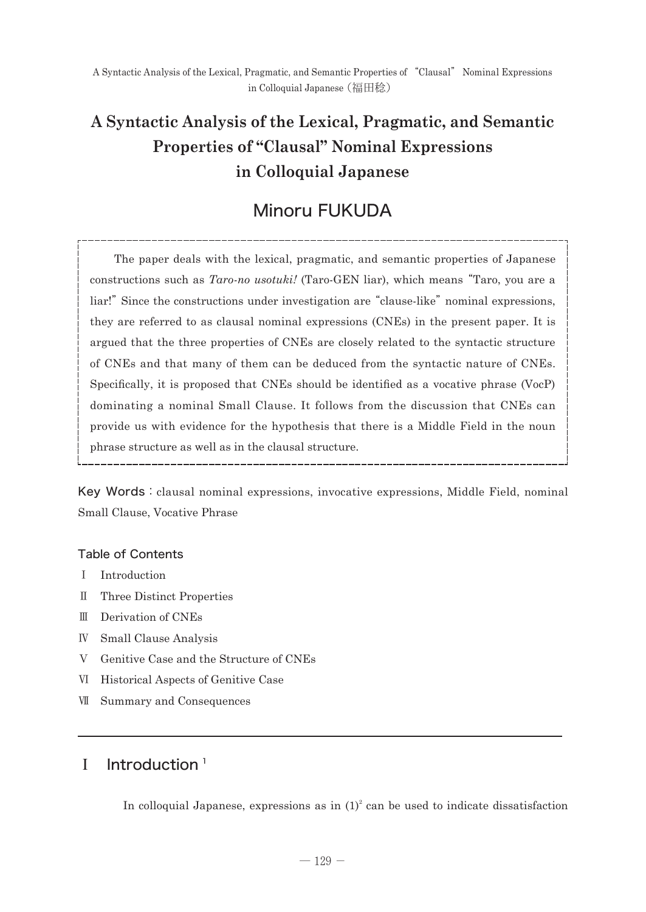# **A Syntactic Analysis of the Lexical, Pragmatic, and Semantic Properties of "Clausal" Nominal Expressions in Colloquial Japanese**

# Minoru FUKUDA

 The paper deals with the lexical, pragmatic, and semantic properties of Japanese constructions such as *Taro-no usotuki!* (Taro-GEN liar), which means "Taro, you are a liar!" Since the constructions under investigation are "clause-like" nominal expressions, they are referred to as clausal nominal expressions (CNEs) in the present paper. It is argued that the three properties of CNEs are closely related to the syntactic structure of CNEs and that many of them can be deduced from the syntactic nature of CNEs. Specifically, it is proposed that CNEs should be identified as a vocative phrase (VocP) dominating a nominal Small Clause. It follows from the discussion that CNEs can provide us with evidence for the hypothesis that there is a Middle Field in the noun phrase structure as well as in the clausal structure.

Key Words: clausal nominal expressions, invocative expressions, Middle Field, nominal Small Clause, Vocative Phrase

### Table of Contents

- Ⅰ Introduction
- Ⅱ Three Distinct Properties
- Ⅲ Derivation of CNEs
- Ⅳ Small Clause Analysis
- Ⅴ Genitive Case and the Structure of CNEs
- Ⅵ Historical Aspects of Genitive Case
- Ⅶ Summary and Consequences

# $I$  Introduction<sup>1</sup>

In colloquial Japanese, expressions as in  $(1)^2$  can be used to indicate dissatisfaction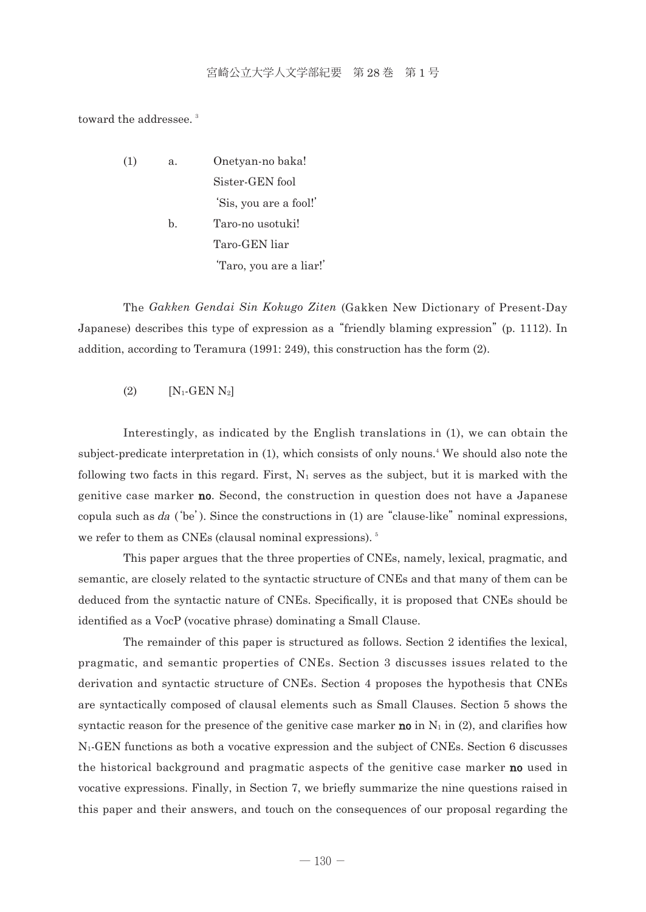toward the addressee.<sup>3</sup>

 (1) a. Onetyan-no baka! Sister-GEN fool 'Sis, you are a fool!' b. Taro-no usotuki! Taro-GEN liar

'Taro, you are a liar!'

 The *Gakken Gendai Sin Kokugo Ziten* (Gakken New Dictionary of Present-Day Japanese) describes this type of expression as a "friendly blaming expression" (p. 1112). In addition, according to Teramura (1991: 249), this construction has the form (2).

(2)  $[N_1 \text{-GEN } N_2]$ 

 Interestingly, as indicated by the English translations in (1), we can obtain the subject-predicate interpretation in (1), which consists of only nouns.<sup>4</sup> We should also note the following two facts in this regard. First,  $N_1$  serves as the subject, but it is marked with the genitive case marker no. Second, the construction in question does not have a Japanese copula such as  $da$  ('be'). Since the constructions in (1) are "clause-like" nominal expressions, we refer to them as CNEs (clausal nominal expressions).<sup>5</sup>

 This paper argues that the three properties of CNEs, namely, lexical, pragmatic, and semantic, are closely related to the syntactic structure of CNEs and that many of them can be deduced from the syntactic nature of CNEs. Specifically, it is proposed that CNEs should be identified as a VocP (vocative phrase) dominating a Small Clause.

 The remainder of this paper is structured as follows. Section 2 identifies the lexical, pragmatic, and semantic properties of CNEs. Section 3 discusses issues related to the derivation and syntactic structure of CNEs. Section 4 proposes the hypothesis that CNEs are syntactically composed of clausal elements such as Small Clauses. Section 5 shows the syntactic reason for the presence of the genitive case marker **no** in  $N_1$  in (2), and clarifies how N1-GEN functions as both a vocative expression and the subject of CNEs. Section 6 discusses the historical background and pragmatic aspects of the genitive case marker no used in vocative expressions. Finally, in Section 7, we briefly summarize the nine questions raised in this paper and their answers, and touch on the consequences of our proposal regarding the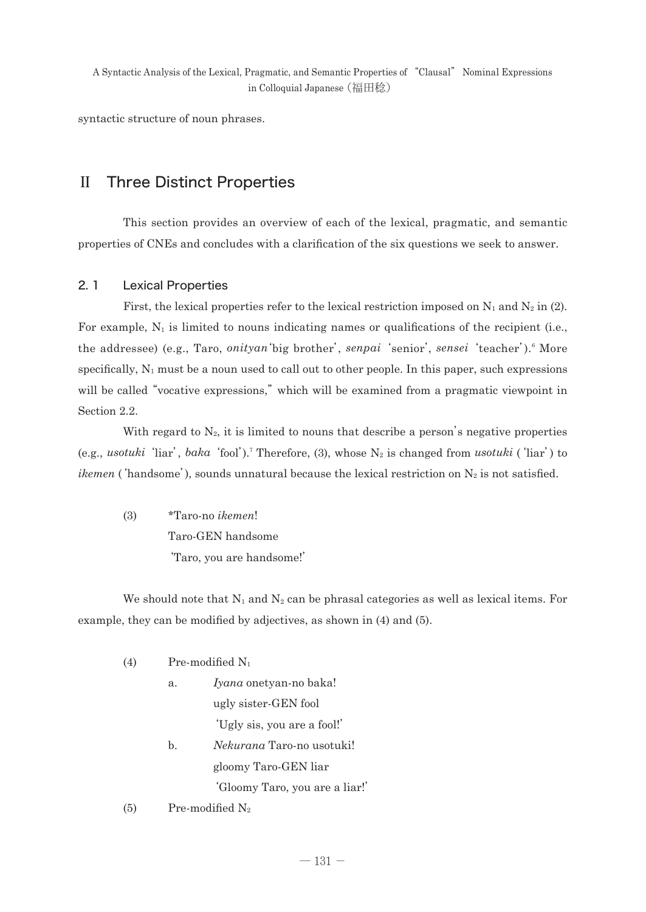syntactic structure of noun phrases.

## Ⅱ Three Distinct Properties

 This section provides an overview of each of the lexical, pragmatic, and semantic properties of CNEs and concludes with a clarification of the six questions we seek to answer.

### 2. 1 Lexical Properties

First, the lexical properties refer to the lexical restriction imposed on  $N_1$  and  $N_2$  in (2). For example,  $N_1$  is limited to nouns indicating names or qualifications of the recipient (i.e., the addressee) (e.g., Taro, *onityan* 'big brother', *senpai* 'senior', *sensei* 'teacher').<sup>6</sup> More specifically,  $N_1$  must be a noun used to call out to other people. In this paper, such expressions will be called "vocative expressions," which will be examined from a pragmatic viewpoint in Section 2.2.

With regard to  $N_2$ , it is limited to nouns that describe a person's negative properties (e.g., *usotuki*'liar', *baka*'fool').7 Therefore, (3), whose N2 is changed from *usotuki* ('liar') to *ikemen* ('handsome'), sounds unnatural because the lexical restriction on  $N_2$  is not satisfied.

 (3) \*Taro-no *ikemen*! Taro-GEN handsome 'Taro, you are handsome!'

We should note that  $N_1$  and  $N_2$  can be phrasal categories as well as lexical items. For example, they can be modified by adjectives, as shown in (4) and (5).

- (4) Pre-modified  $N_1$ 
	- a. *Iyana* onetyan-no baka! ugly sister-GEN fool 'Ugly sis, you are a fool!' b. *Nekurana* Taro-no usotuki!

gloomy Taro-GEN liar

'Gloomy Taro, you are a liar!'

(5) Pre-modified  $N_2$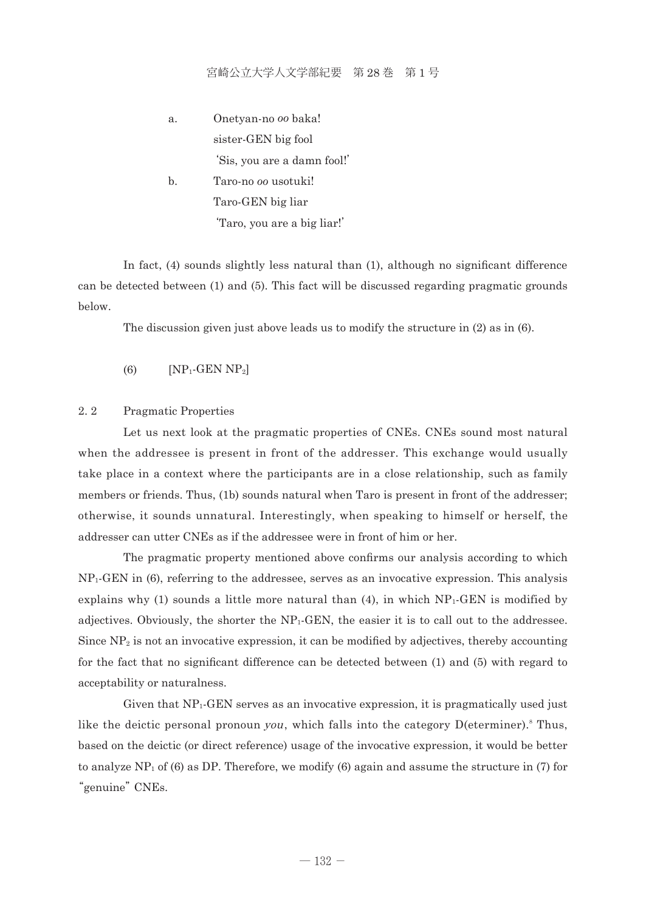- a. Onetyan-no *oo* baka! sister-GEN big fool 'Sis, you are a damn fool!' b. Taro-no *oo* usotuki!
	- Taro-GEN big liar 'Taro, you are a big liar!'

 In fact, (4) sounds slightly less natural than (1), although no significant difference can be detected between (1) and (5). This fact will be discussed regarding pragmatic grounds below.

The discussion given just above leads us to modify the structure in (2) as in (6).

 $(S)$   $[NP_1\text{-GEN NP}_2]$ 

#### 2. 2 Pragmatic Properties

 Let us next look at the pragmatic properties of CNEs. CNEs sound most natural when the addressee is present in front of the addresser. This exchange would usually take place in a context where the participants are in a close relationship, such as family members or friends. Thus, (1b) sounds natural when Taro is present in front of the addresser; otherwise, it sounds unnatural. Interestingly, when speaking to himself or herself, the addresser can utter CNEs as if the addressee were in front of him or her.

 The pragmatic property mentioned above confirms our analysis according to which  $NP<sub>1</sub>·GEN$  in (6), referring to the addressee, serves as an invocative expression. This analysis explains why (1) sounds a little more natural than (4), in which  $NP_1\text{-}GEN$  is modified by adjectives. Obviously, the shorter the NP1-GEN, the easier it is to call out to the addressee. Since  $NP_2$  is not an invocative expression, it can be modified by adjectives, thereby accounting for the fact that no significant difference can be detected between (1) and (5) with regard to acceptability or naturalness.

 Given that NP1-GEN serves as an invocative expression, it is pragmatically used just like the deictic personal pronoun you, which falls into the category  $D(\text{eterminer}).$ <sup>8</sup> Thus, based on the deictic (or direct reference) usage of the invocative expression, it would be better to analyze  $NP_1$  of (6) as DP. Therefore, we modify (6) again and assume the structure in (7) for "genuine" CNEs.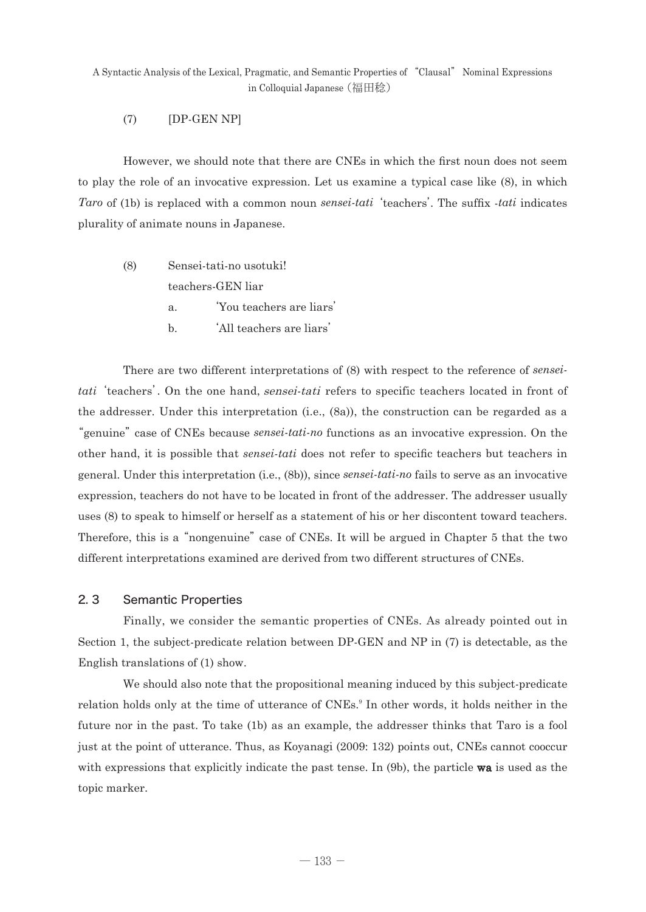### (7) [DP-GEN NP]

 However, we should note that there are CNEs in which the first noun does not seem to play the role of an invocative expression. Let us examine a typical case like (8), in which *Taro* of (1b) is replaced with a common noun *sensei-tati*'teachers'. The suffix -*tati* indicates plurality of animate nouns in Japanese.

- (8) Sensei-tati-no usotuki! teachers-GEN liar a. 'You teachers are liars'
	-
	- b. 'All teachers are liars'

 There are two different interpretations of (8) with respect to the reference of *senseitati*'teachers'. On the one hand, sensei-tati refers to specific teachers located in front of the addresser. Under this interpretation (i.e., (8a)), the construction can be regarded as a "genuine" case of CNEs because *sensei-tati-no* functions as an invocative expression. On the other hand, it is possible that *sensei-tati* does not refer to specific teachers but teachers in general. Under this interpretation (i.e., (8b)), since *sensei-tati-no* fails to serve as an invocative expression, teachers do not have to be located in front of the addresser. The addresser usually uses (8) to speak to himself or herself as a statement of his or her discontent toward teachers. Therefore, this is a "nongenuine" case of CNEs. It will be argued in Chapter 5 that the two different interpretations examined are derived from two different structures of CNEs.

### 2. 3 Semantic Properties

 Finally, we consider the semantic properties of CNEs. As already pointed out in Section 1, the subject-predicate relation between DP-GEN and NP in (7) is detectable, as the English translations of (1) show.

 We should also note that the propositional meaning induced by this subject-predicate relation holds only at the time of utterance of CNEs.<sup>9</sup> In other words, it holds neither in the future nor in the past. To take (1b) as an example, the addresser thinks that Taro is a fool just at the point of utterance. Thus, as Koyanagi (2009: 132) points out, CNEs cannot cooccur with expressions that explicitly indicate the past tense. In (9b), the particle **wa** is used as the topic marker.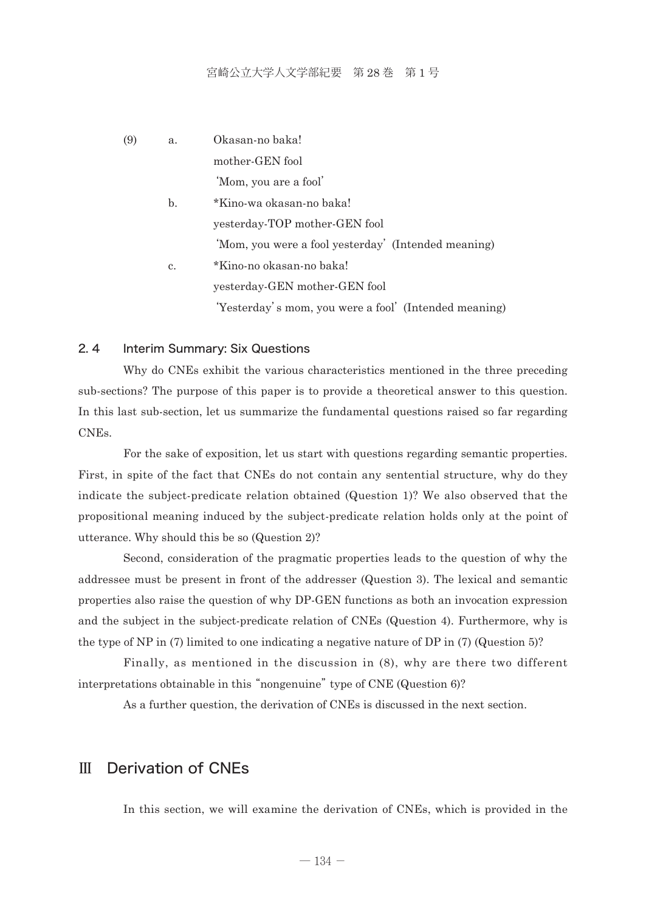| (9) | a. | Okasan-no baka!                                       |
|-----|----|-------------------------------------------------------|
|     |    | mother-GEN fool                                       |
|     |    | 'Mom, you are a fool'                                 |
|     | b. | *Kino-wa okasan-no baka!                              |
|     |    | yesterday-TOP mother-GEN fool                         |
|     |    | 'Mom, you were a fool yesterday' (Intended meaning)   |
|     | c. | *Kino-no okasan-no baka!                              |
|     |    | yesterday-GEN mother-GEN fool                         |
|     |    | 'Yesterday's mom, you were a fool' (Intended meaning) |

### 2. 4 Interim Summary: Six Questions

 Why do CNEs exhibit the various characteristics mentioned in the three preceding sub-sections? The purpose of this paper is to provide a theoretical answer to this question. In this last sub-section, let us summarize the fundamental questions raised so far regarding CNEs.

 For the sake of exposition, let us start with questions regarding semantic properties. First, in spite of the fact that CNEs do not contain any sentential structure, why do they indicate the subject-predicate relation obtained (Question 1)? We also observed that the propositional meaning induced by the subject-predicate relation holds only at the point of utterance. Why should this be so (Question 2)?

 Second, consideration of the pragmatic properties leads to the question of why the addressee must be present in front of the addresser (Question 3). The lexical and semantic properties also raise the question of why DP-GEN functions as both an invocation expression and the subject in the subject-predicate relation of CNEs (Question 4). Furthermore, why is the type of NP in (7) limited to one indicating a negative nature of DP in (7) (Question 5)?

 Finally, as mentioned in the discussion in (8), why are there two different interpretations obtainable in this "nongenuine" type of CNE (Question 6)?

As a further question, the derivation of CNEs is discussed in the next section.

## Ⅲ Derivation of CNEs

In this section, we will examine the derivation of CNEs, which is provided in the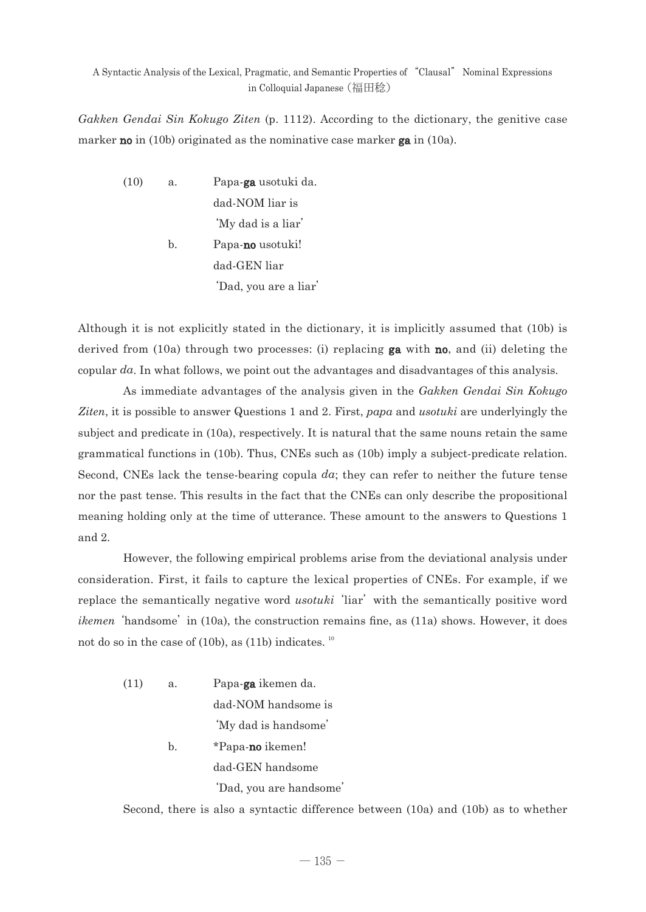*Gakken Gendai Sin Kokugo Ziten* (p. 1112). According to the dictionary, the genitive case marker **no** in (10b) originated as the nominative case marker **ga** in (10a).

 (10) a. Papa-ga usotuki da. dad-NOM liar is 'My dad is a liar' b. Papa-no usotuki! dad-GEN liar 'Dad, you are a liar'

Although it is not explicitly stated in the dictionary, it is implicitly assumed that (10b) is derived from (10a) through two processes: (i) replacing  $ga$  with no, and (ii) deleting the copular *da*. In what follows, we point out the advantages and disadvantages of this analysis.

 As immediate advantages of the analysis given in the *Gakken Gendai Sin Kokugo Ziten*, it is possible to answer Questions 1 and 2. First, *papa* and *usotuki* are underlyingly the subject and predicate in (10a), respectively. It is natural that the same nouns retain the same grammatical functions in (10b). Thus, CNEs such as (10b) imply a subject-predicate relation. Second, CNEs lack the tense-bearing copula *da*; they can refer to neither the future tense nor the past tense. This results in the fact that the CNEs can only describe the propositional meaning holding only at the time of utterance. These amount to the answers to Questions 1 and 2.

 However, the following empirical problems arise from the deviational analysis under consideration. First, it fails to capture the lexical properties of CNEs. For example, if we replace the semantically negative word *usotuki* 'liar' with the semantically positive word *ikemen* 'handsome' in (10a), the construction remains fine, as (11a) shows. However, it does not do so in the case of (10b), as (11b) indicates.  $10^{10}$ 

 (11) a. Papa-ga ikemen da. dad-NOM handsome is 'My dad is handsome' b. \*Papa-**no** ikemen! dad-GEN handsome 'Dad, you are handsome'

Second, there is also a syntactic difference between (10a) and (10b) as to whether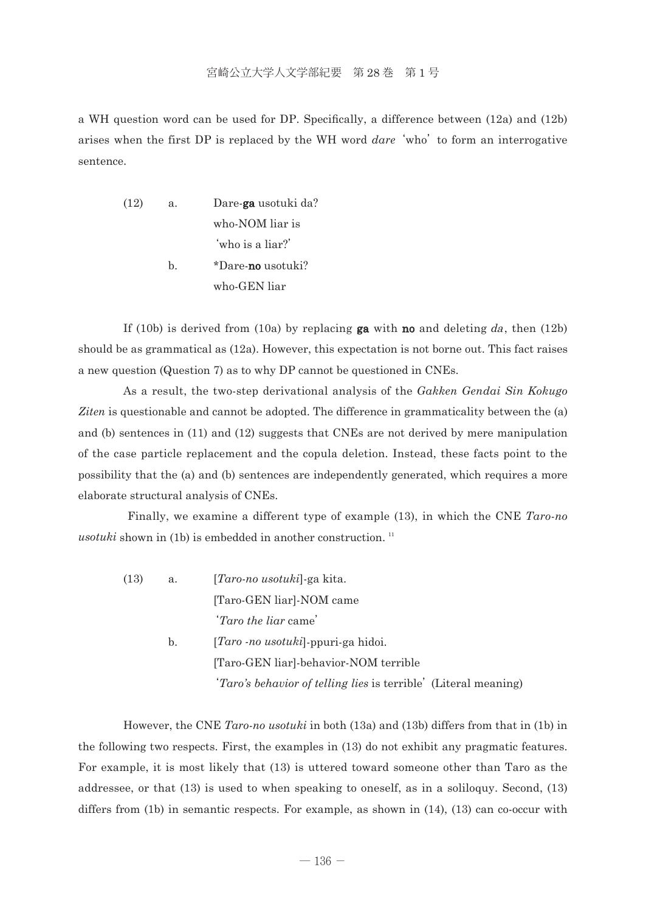a WH question word can be used for DP. Specifically, a difference between (12a) and (12b) arises when the first DP is replaced by the WH word *dare*'who' to form an interrogative sentence.

 (12) a. Dare-ga usotuki da? who-NOM liar is 'who is a liar?' b. \*Dare-no usotuki? who-GEN liar

If (10b) is derived from (10a) by replacing **ga** with **no** and deleting da, then (12b) should be as grammatical as (12a). However, this expectation is not borne out. This fact raises a new question (Question 7) as to why DP cannot be questioned in CNEs.

 As a result, the two-step derivational analysis of the *Gakken Gendai Sin Kokugo Ziten* is questionable and cannot be adopted. The difference in grammaticality between the (a) and (b) sentences in (11) and (12) suggests that CNEs are not derived by mere manipulation of the case particle replacement and the copula deletion. Instead, these facts point to the possibility that the (a) and (b) sentences are independently generated, which requires a more elaborate structural analysis of CNEs.

 Finally, we examine a different type of example (13), in which the CNE *Taro-no usotuki* shown in (1b) is embedded in another construction.  $11$ 

 (13) a. [*Taro-no usotuki*]-ga kita. [Taro-GEN liar]-NOM came '*Taro the liar* came' b. [*Taro -no usotuki*]-ppuri-ga hidoi. [Taro-GEN liar]-behavior-NOM terrible '*Taro's behavior of telling lies* is terrible' (Literal meaning)

 However, the CNE *Taro-no usotuki* in both (13a) and (13b) differs from that in (1b) in the following two respects. First, the examples in (13) do not exhibit any pragmatic features. For example, it is most likely that (13) is uttered toward someone other than Taro as the addressee, or that (13) is used to when speaking to oneself, as in a soliloquy. Second, (13) differs from (1b) in semantic respects. For example, as shown in (14), (13) can co-occur with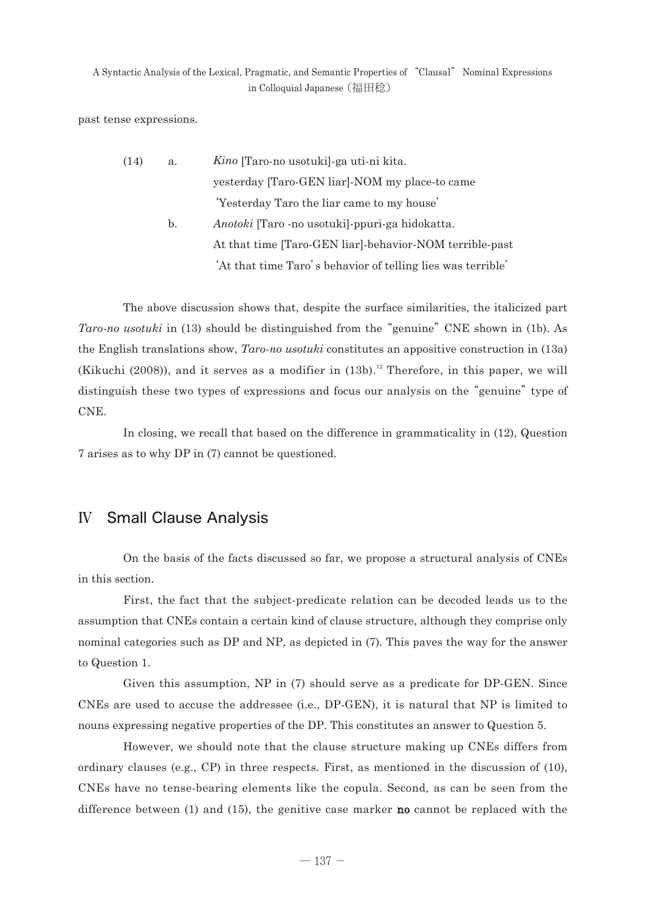past tense expressions.

| (14) | a. | <i>Kino</i> [Taro-no usotuki]-ga uti-ni kita.               |
|------|----|-------------------------------------------------------------|
|      |    | yesterday [Taro-GEN liar]-NOM my place-to came              |
|      |    | 'Yesterday Taro the liar came to my house'                  |
|      | b. | <i>Anotoki</i> [Taro -no usotuki]-ppuri-ga hidokatta.       |
|      |    | At that time [Taro-GEN liar]-behavior-NOM terrible-past     |
|      |    | 'At that time Taro's behavior of telling lies was terrible' |

 The above discussion shows that, despite the surface similarities, the italicized part *Taro-no usotuki* in (13) should be distinguished from the "genuine" CNE shown in (1b). As the English translations show, *Taro-no usotuki* constitutes an appositive construction in (13a) (Kikuchi (2008)), and it serves as a modifier in  $(13b)$ .<sup>12</sup> Therefore, in this paper, we will distinguish these two types of expressions and focus our analysis on the "genuine" type of CNE.

 In closing, we recall that based on the difference in grammaticality in (12), Question 7 arises as to why DP in (7) cannot be questioned.

# Ⅳ Small Clause Analysis

 On the basis of the facts discussed so far, we propose a structural analysis of CNEs in this section.

 First, the fact that the subject-predicate relation can be decoded leads us to the assumption that CNEs contain a certain kind of clause structure, although they comprise only nominal categories such as DP and NP, as depicted in (7). This paves the way for the answer to Question 1.

 Given this assumption, NP in (7) should serve as a predicate for DP-GEN. Since CNEs are used to accuse the addressee (i.e., DP-GEN), it is natural that NP is limited to nouns expressing negative properties of the DP. This constitutes an answer to Question 5.

 However, we should note that the clause structure making up CNEs differs from ordinary clauses (e.g., CP) in three respects. First, as mentioned in the discussion of (10), CNEs have no tense-bearing elements like the copula. Second, as can be seen from the difference between  $(1)$  and  $(15)$ , the genitive case marker **no** cannot be replaced with the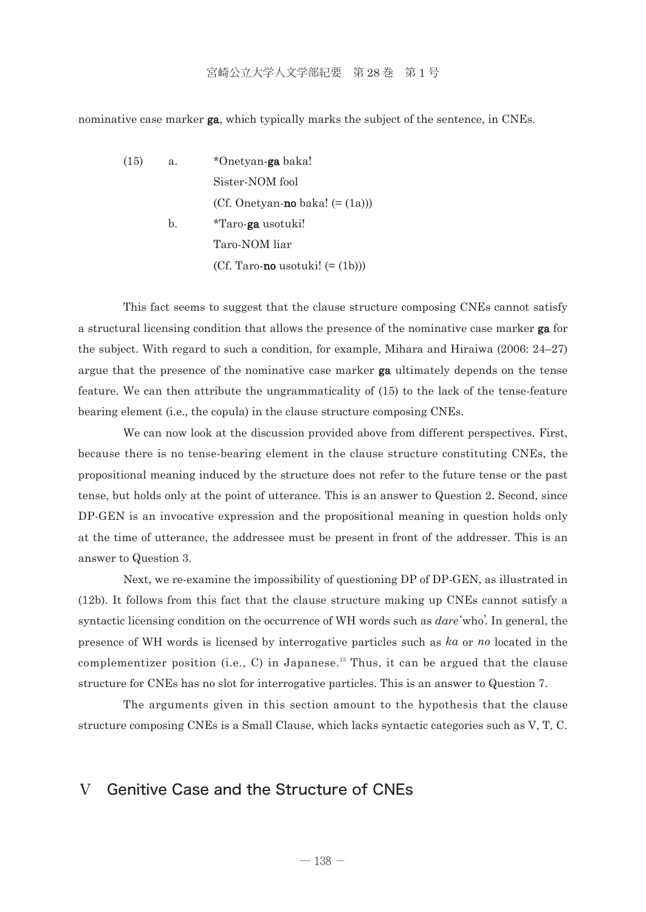nominative case marker **ga**, which typically marks the subject of the sentence, in CNEs.

(15) a. \*Onetyan-ga baka! Sister-NOM fool (Cf. Onetyan-no baka!  $(=(1a))$ ) b. \*Taro-ga usotuki! Taro-NOM liar (Cf. Taro-**no** usotuki!  $(=(1b))$ )

 This fact seems to suggest that the clause structure composing CNEs cannot satisfy a structural licensing condition that allows the presence of the nominative case marker ga for the subject. With regard to such a condition, for example, Mihara and Hiraiwa (2006: 24–27) argue that the presence of the nominative case marker ga ultimately depends on the tense feature. We can then attribute the ungrammaticality of (15) to the lack of the tense-feature bearing element (i.e., the copula) in the clause structure composing CNEs.

 We can now look at the discussion provided above from different perspectives. First, because there is no tense-bearing element in the clause structure constituting CNEs, the propositional meaning induced by the structure does not refer to the future tense or the past tense, but holds only at the point of utterance. This is an answer to Question 2. Second, since DP-GEN is an invocative expression and the propositional meaning in question holds only at the time of utterance, the addressee must be present in front of the addresser. This is an answer to Question 3.

 Next, we re-examine the impossibility of questioning DP of DP-GEN, as illustrated in (12b). It follows from this fact that the clause structure making up CNEs cannot satisfy a syntactic licensing condition on the occurrence of WH words such as *dare*'who'. In general, the presence of WH words is licensed by interrogative particles such as *ka* or *no* located in the complementizer position (i.e., C) in Japanese.<sup>13</sup> Thus, it can be argued that the clause structure for CNEs has no slot for interrogative particles. This is an answer to Question 7.

 The arguments given in this section amount to the hypothesis that the clause structure composing CNEs is a Small Clause, which lacks syntactic categories such as V, T, C.

## Ⅴ Genitive Case and the Structure of CNEs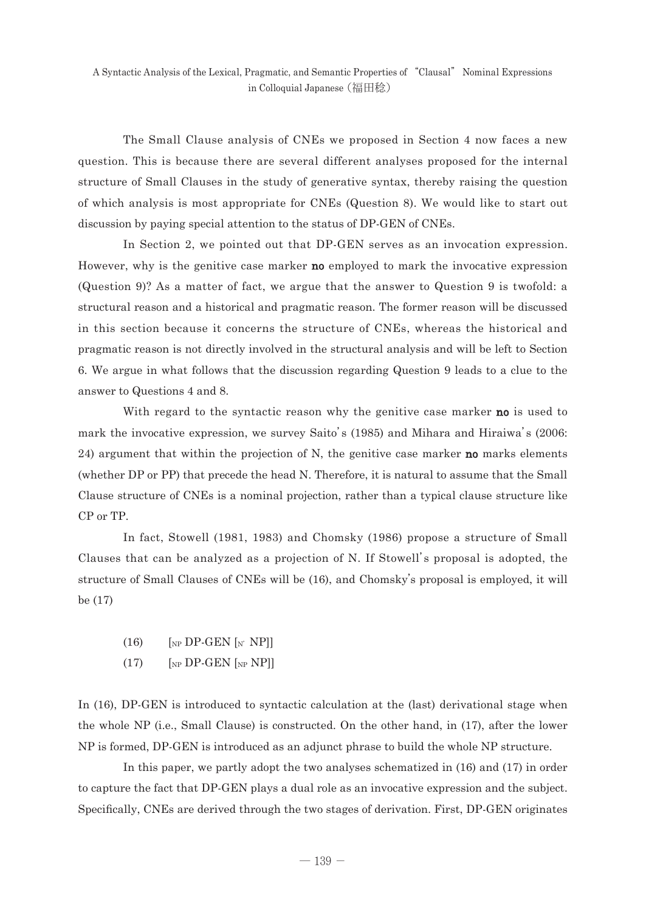The Small Clause analysis of CNEs we proposed in Section 4 now faces a new question. This is because there are several different analyses proposed for the internal structure of Small Clauses in the study of generative syntax, thereby raising the question of which analysis is most appropriate for CNEs (Question 8). We would like to start out discussion by paying special attention to the status of DP-GEN of CNEs.

 In Section 2, we pointed out that DP-GEN serves as an invocation expression. However, why is the genitive case marker **no** employed to mark the invocative expression (Question 9)? As a matter of fact, we argue that the answer to Question 9 is twofold: a structural reason and a historical and pragmatic reason. The former reason will be discussed in this section because it concerns the structure of CNEs, whereas the historical and pragmatic reason is not directly involved in the structural analysis and will be left to Section 6. We argue in what follows that the discussion regarding Question 9 leads to a clue to the answer to Questions 4 and 8.

With regard to the syntactic reason why the genitive case marker **no** is used to mark the invocative expression, we survey Saito's (1985) and Mihara and Hiraiwa's (2006: 24) argument that within the projection of N, the genitive case marker **no** marks elements (whether DP or PP) that precede the head N. Therefore, it is natural to assume that the Small Clause structure of CNEs is a nominal projection, rather than a typical clause structure like CP or TP.

 In fact, Stowell (1981, 1983) and Chomsky (1986) propose a structure of Small Clauses that can be analyzed as a projection of N. If Stowell's proposal is adopted, the structure of Small Clauses of CNEs will be (16), and Chomsky's proposal is employed, it will be (17)

- $(16)$  [NP DP-GEN [N' NP]]
- $(17)$  [NP DP-GEN [NP NP]]

In (16), DP-GEN is introduced to syntactic calculation at the (last) derivational stage when the whole NP (i.e., Small Clause) is constructed. On the other hand, in (17), after the lower NP is formed, DP-GEN is introduced as an adjunct phrase to build the whole NP structure.

 In this paper, we partly adopt the two analyses schematized in (16) and (17) in order to capture the fact that DP-GEN plays a dual role as an invocative expression and the subject. Specifically, CNEs are derived through the two stages of derivation. First, DP-GEN originates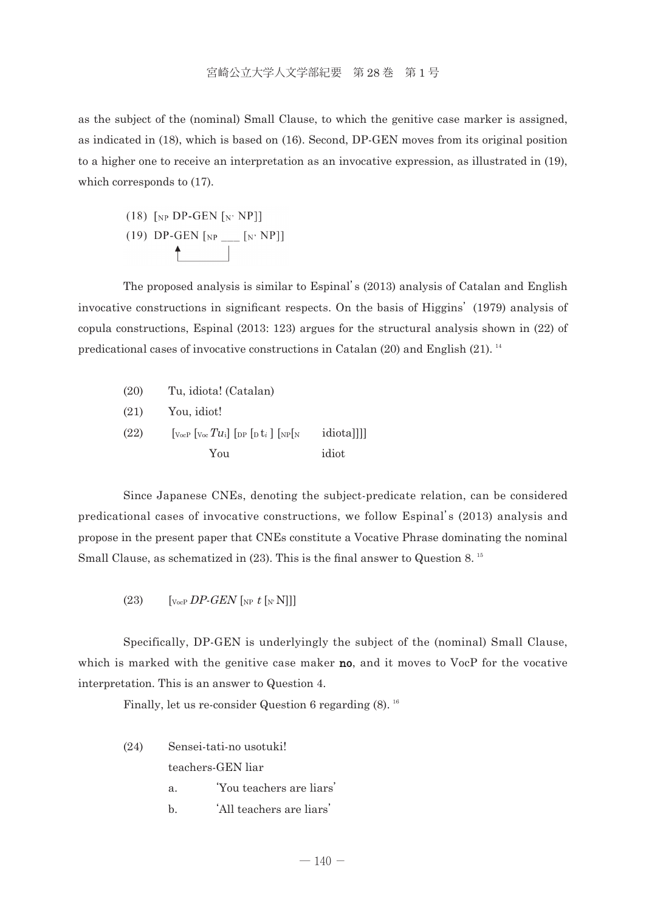as the subject of the (nominal) Small Clause, to which the genitive case marker is assigned, as indicated in (18), which is based on (16). Second, DP-GEN moves from its original position to a higher one to receive an interpretation as an invocative expression, as illustrated in (19), which corresponds to (17).

(18) 
$$
[NP \text{DP-GEN } [N \text{ NP}]]
$$
\n(19)  $\text{DP-GEN } [NP \_ [N \text{ NP}]]$ 

 The proposed analysis is similar to Espinal's (2013) analysis of Catalan and English invocative constructions in significant respects. On the basis of Higgins' (1979) analysis of copula constructions, Espinal (2013: 123) argues for the structural analysis shown in (22) of predicational cases of invocative constructions in Catalan (20) and English (21). <sup>14</sup>

 (20) Tu, idiota! (Catalan) (21) You, idiot!  $(22)$  [ $V_{\text{ocP}}$   $[V_{\text{ocP}} T u_i]$  [ $_{\text{DP}}$  [ $_{\text{D}}$  t<sub>i</sub> ]  $[V_{\text{NP}}[N_i \text{ ideal}]]]$ ] You idiot

 Since Japanese CNEs, denoting the subject-predicate relation, can be considered predicational cases of invocative constructions, we follow Espinal's (2013) analysis and propose in the present paper that CNEs constitute a Vocative Phrase dominating the nominal Small Clause, as schematized in (23). This is the final answer to Question 8.<sup>15</sup>

(23)  $\left[\begin{matrix} \n\sqrt{23} & \sqrt{22} & \sqrt{22} & \sqrt{22} \\ \n\sqrt{26} & \sqrt{22} & \sqrt{22} & \sqrt{22} & \sqrt{22} \\ \n\sqrt{26} & \sqrt{22} & \sqrt{22} & \sqrt{22} & \sqrt{22} \\ \n\sqrt{26} & \sqrt{22} & \sqrt{22} & \sqrt{22} & \sqrt{22} \\ \n\sqrt{26} & \sqrt{22} & \sqrt{22} & \sqrt{22} & \sqrt{22} \\ \n\sqrt{26} & \sqrt{22} & \sqrt{22} & \sqrt{22} &$ 

 Specifically, DP-GEN is underlyingly the subject of the (nominal) Small Clause, which is marked with the genitive case maker **no**, and it moves to VocP for the vocative interpretation. This is an answer to Question 4.

Finally, let us re-consider Question 6 regarding  $(8)$ . <sup>16</sup>

- (24) Sensei-tati-no usotuki! teachers-GEN liar a. 'You teachers are liars'
	- b. 'All teachers are liars'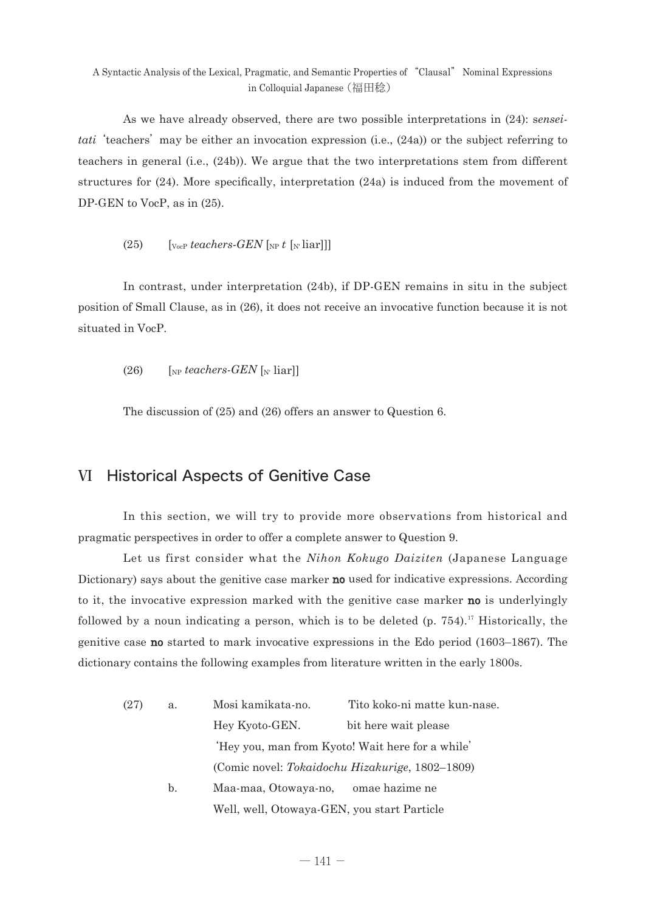As we have already observed, there are two possible interpretations in (24): s*enseitati* 'teachers' may be either an invocation expression (i.e., (24a)) or the subject referring to teachers in general (i.e., (24b)). We argue that the two interpretations stem from different structures for (24). More specifically, interpretation (24a) is induced from the movement of DP-GEN to VocP, as in (25).

 $(25)$  [<sub>VocP</sub> *teachers-GEN* [<sub>NP</sub> *t* [<sub>N'</sub> liar]]]

 In contrast, under interpretation (24b), if DP-GEN remains in situ in the subject position of Small Clause, as in (26), it does not receive an invocative function because it is not situated in VocP.

 $(26)$  [NP *teachers-GEN* [N' liar]]

The discussion of (25) and (26) offers an answer to Question 6.

### Ⅵ Historical Aspects of Genitive Case

 In this section, we will try to provide more observations from historical and pragmatic perspectives in order to offer a complete answer to Question 9.

 Let us first consider what the *Nihon Kokugo Daiziten* (Japanese Language Dictionary) says about the genitive case marker **no** used for indicative expressions. According to it, the invocative expression marked with the genitive case marker **no** is underlyingly followed by a noun indicating a person, which is to be deleted (p. 754).<sup>17</sup> Historically, the genitive case no started to mark invocative expressions in the Edo period (1603–1867). The dictionary contains the following examples from literature written in the early 1800s.

| (27) | a. | Mosi kamikata-no.                           | Tito koko-ni matte kun-nase.                     |
|------|----|---------------------------------------------|--------------------------------------------------|
|      |    | Hey Kyoto-GEN.                              | bit here wait please                             |
|      |    |                                             | 'Hey you, man from Kyoto! Wait here for a while' |
|      |    |                                             | (Comic novel: Tokaidochu Hizakurige, 1802–1809)  |
|      | b. | Maa-maa, Otowaya-no, omae hazime ne         |                                                  |
|      |    | Well, well, Otowaya-GEN, you start Particle |                                                  |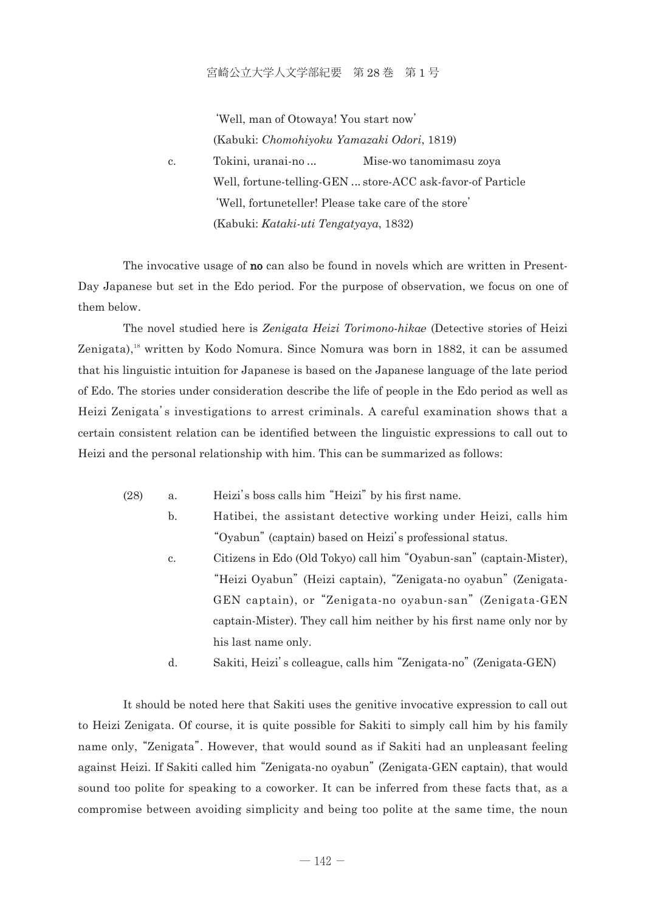#### 宮崎公立大学人文学部紀要 第 28 巻 第 1 号

 'Well, man of Otowaya! You start now' (Kabuki: *Chomohiyoku Yamazaki Odori*, 1819) c. Tokini, uranai-no ... Mise-wo tanomimasu zoya Well, fortune-telling-GEN ... store-ACC ask-favor-of Particle 'Well, fortuneteller! Please take care of the store' (Kabuki: *Kataki-uti Tengatyaya*, 1832)

The invocative usage of **no** can also be found in novels which are written in Present-Day Japanese but set in the Edo period. For the purpose of observation, we focus on one of them below.

 The novel studied here is *Zenigata Heizi Torimono-hika*e (Detective stories of Heizi Zenigata),<sup>18</sup> written by Kodo Nomura. Since Nomura was born in 1882, it can be assumed that his linguistic intuition for Japanese is based on the Japanese language of the late period of Edo. The stories under consideration describe the life of people in the Edo period as well as Heizi Zenigata's investigations to arrest criminals. A careful examination shows that a certain consistent relation can be identified between the linguistic expressions to call out to Heizi and the personal relationship with him. This can be summarized as follows:

- (28) a. Heizi's boss calls him "Heizi" by his first name.
	- b. Hatibei, the assistant detective working under Heizi, calls him "Oyabun" (captain) based on Heizi's professional status.
	- c. Citizens in Edo (Old Tokyo) call him "Oyabun-san" (captain-Mister), "Heizi Oyabun" (Heizi captain), "Zenigata-no oyabun" (Zenigata-GEN captain), or "Zenigata-no oyabun-san" (Zenigata-GEN captain-Mister). They call him neither by his first name only nor by his last name only.
	- d. Sakiti, Heizi's colleague, calls him "Zenigata-no" (Zenigata-GEN)

 It should be noted here that Sakiti uses the genitive invocative expression to call out to Heizi Zenigata. Of course, it is quite possible for Sakiti to simply call him by his family name only, "Zenigata". However, that would sound as if Sakiti had an unpleasant feeling against Heizi. If Sakiti called him "Zenigata-no oyabun" (Zenigata-GEN captain), that would sound too polite for speaking to a coworker. It can be inferred from these facts that, as a compromise between avoiding simplicity and being too polite at the same time, the noun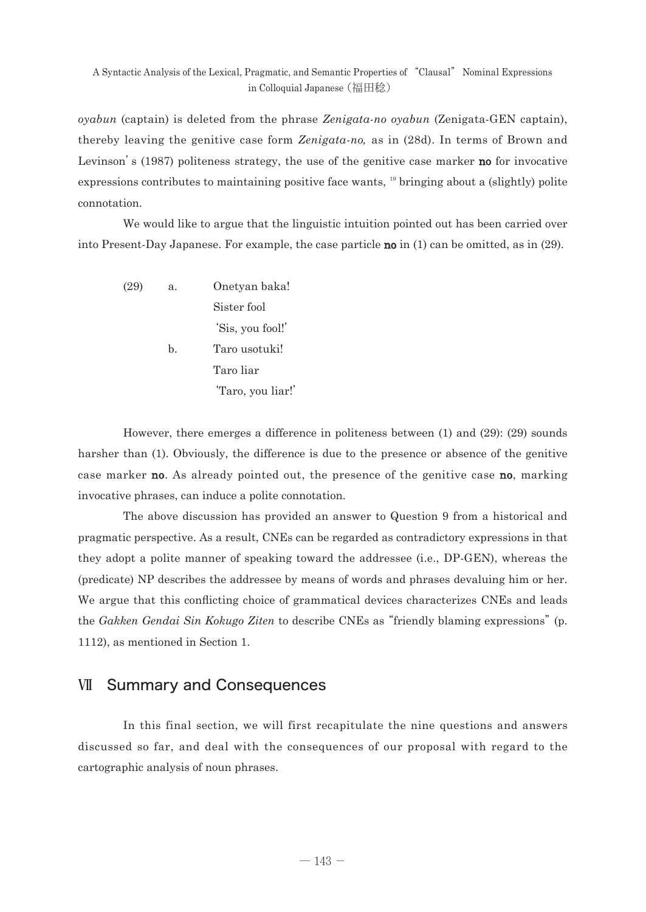*oyabun* (captain) is deleted from the phrase *Zenigata-no oyabun* (Zenigata-GEN captain), thereby leaving the genitive case form *Zenigata-no*, as in (28d). In terms of Brown and Levinson's (1987) politeness strategy, the use of the genitive case marker **no** for invocative expressions contributes to maintaining positive face wants, 19 bringing about a (slightly) polite connotation.

 We would like to argue that the linguistic intuition pointed out has been carried over into Present-Day Japanese. For example, the case particle no in (1) can be omitted, as in (29).

 (29) a. Onetyan baka! Sister fool 'Sis, you fool!' b. Taro usotuki! Taro liar 'Taro, you liar!'

 However, there emerges a difference in politeness between (1) and (29): (29) sounds harsher than (1). Obviously, the difference is due to the presence or absence of the genitive case marker **no**. As already pointed out, the presence of the genitive case **no**, marking invocative phrases, can induce a polite connotation.

 The above discussion has provided an answer to Question 9 from a historical and pragmatic perspective. As a result, CNEs can be regarded as contradictory expressions in that they adopt a polite manner of speaking toward the addressee (i.e., DP-GEN), whereas the (predicate) NP describes the addressee by means of words and phrases devaluing him or her. We argue that this conflicting choice of grammatical devices characterizes CNEs and leads the *Gakken Gendai Sin Kokugo Ziten* to describe CNEs as "friendly blaming expressions" (p. 1112), as mentioned in Section 1.

### Ⅶ Summary and Consequences

 In this final section, we will first recapitulate the nine questions and answers discussed so far, and deal with the consequences of our proposal with regard to the cartographic analysis of noun phrases.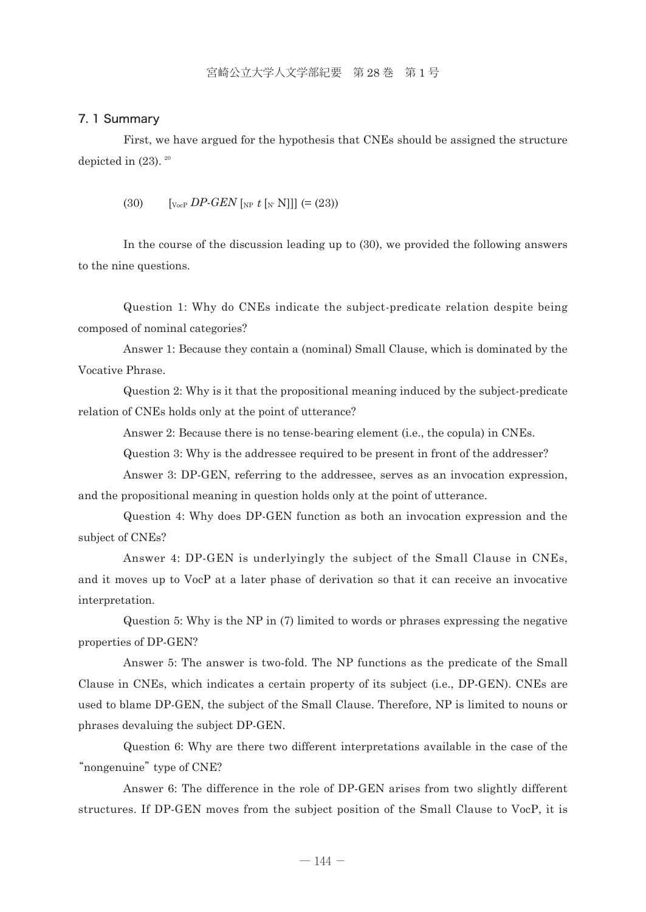#### 7. 1 Summary

 First, we have argued for the hypothesis that CNEs should be assigned the structure depicted in  $(23)$ .  $20$ 

(30)  $\left[ \nabla_{\text{VocP}} D P \cdot G E N \right]_{NP} t \left[ \nabla_{\text{V}} N \right] = (23)$ 

 In the course of the discussion leading up to (30), we provided the following answers to the nine questions.

 Question 1: Why do CNEs indicate the subject-predicate relation despite being composed of nominal categories?

 Answer 1: Because they contain a (nominal) Small Clause, which is dominated by the Vocative Phrase.

 Question 2: Why is it that the propositional meaning induced by the subject-predicate relation of CNEs holds only at the point of utterance?

Answer 2: Because there is no tense-bearing element (i.e., the copula) in CNEs.

Question 3: Why is the addressee required to be present in front of the addresser?

 Answer 3: DP-GEN, referring to the addressee, serves as an invocation expression, and the propositional meaning in question holds only at the point of utterance.

 Question 4: Why does DP-GEN function as both an invocation expression and the subject of CNEs?

 Answer 4: DP-GEN is underlyingly the subject of the Small Clause in CNEs, and it moves up to VocP at a later phase of derivation so that it can receive an invocative interpretation.

 Question 5: Why is the NP in (7) limited to words or phrases expressing the negative properties of DP-GEN?

 Answer 5: The answer is two-fold. The NP functions as the predicate of the Small Clause in CNEs, which indicates a certain property of its subject (i.e., DP-GEN). CNEs are used to blame DP-GEN, the subject of the Small Clause. Therefore, NP is limited to nouns or phrases devaluing the subject DP-GEN.

 Question 6: Why are there two different interpretations available in the case of the "nongenuine" type of CNE?

 Answer 6: The difference in the role of DP-GEN arises from two slightly different structures. If DP-GEN moves from the subject position of the Small Clause to VocP, it is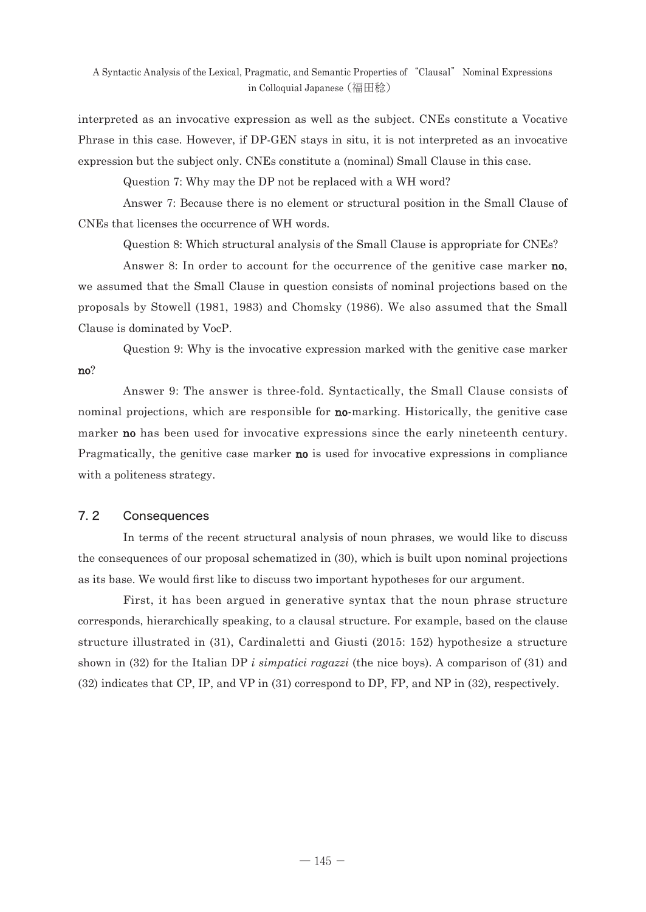interpreted as an invocative expression as well as the subject. CNEs constitute a Vocative Phrase in this case. However, if DP-GEN stays in situ, it is not interpreted as an invocative expression but the subject only. CNEs constitute a (nominal) Small Clause in this case.

Question 7: Why may the DP not be replaced with a WH word?

 Answer 7: Because there is no element or structural position in the Small Clause of CNEs that licenses the occurrence of WH words.

Question 8: Which structural analysis of the Small Clause is appropriate for CNEs?

Answer 8: In order to account for the occurrence of the genitive case marker **no**, we assumed that the Small Clause in question consists of nominal projections based on the proposals by Stowell (1981, 1983) and Chomsky (1986). We also assumed that the Small Clause is dominated by VocP.

 Question 9: Why is the invocative expression marked with the genitive case marker no?

 Answer 9: The answer is three-fold. Syntactically, the Small Clause consists of nominal projections, which are responsible for **no**-marking. Historically, the genitive case marker **no** has been used for invocative expressions since the early nineteenth century. Pragmatically, the genitive case marker **no** is used for invocative expressions in compliance with a politeness strategy.

### 7. 2 Consequences

 In terms of the recent structural analysis of noun phrases, we would like to discuss the consequences of our proposal schematized in (30), which is built upon nominal projections as its base. We would first like to discuss two important hypotheses for our argument.

 First, it has been argued in generative syntax that the noun phrase structure corresponds, hierarchically speaking, to a clausal structure. For example, based on the clause structure illustrated in (31), Cardinaletti and Giusti (2015: 152) hypothesize a structure shown in (32) for the Italian DP *i simpatici ragazzi* (the nice boys). A comparison of (31) and (32) indicates that CP, IP, and VP in (31) correspond to DP, FP, and NP in (32), respectively.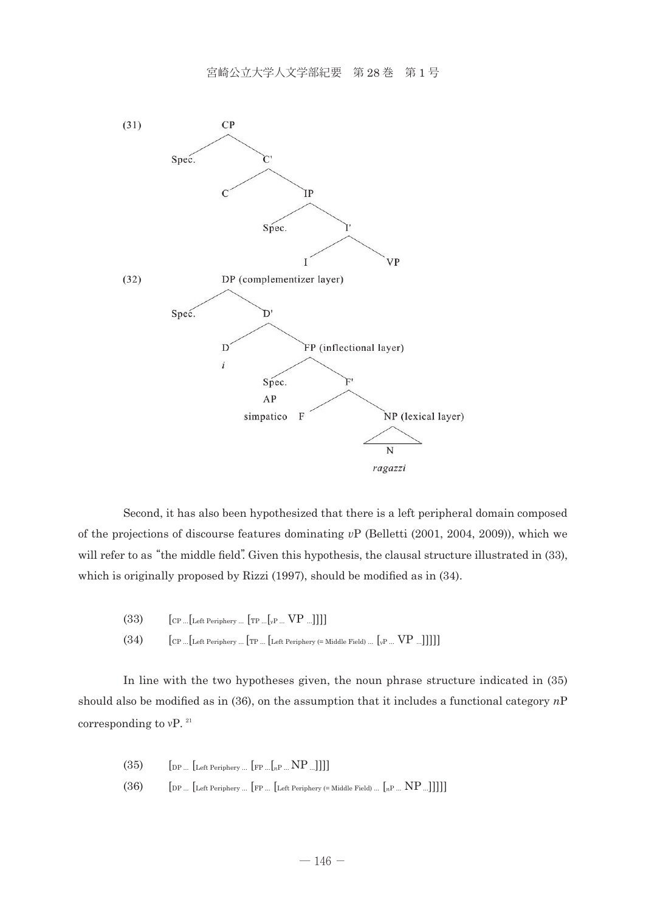

 Second, it has also been hypothesized that there is a left peripheral domain composed of the projections of discourse features dominating *v*P (Belletti (2001, 2004, 2009)), which we will refer to as "the middle field". Given this hypothesis, the clausal structure illustrated in (33), which is originally proposed by Rizzi (1997), should be modified as in (34).

- (33)  $\left[$  CP ... $\left[$  Left Periphery ...  $\left[$  TP ... $\left[$   $\downarrow$   $\mathbb{P}$   $\ldots$   $\mathbb{V}$   $\mathbb{P}$   $\ldots$   $\mathbb{V}$   $\mathbb{P}$   $\ldots$   $\mathbb{V}$   $\mathbb{P}$   $\ldots$   $\mathbb{V}$   $\mathbb{P}$
- $(34)$   $[\text{CP} \dots \text{Let} \text{Periphery} \dots \text{Tr} \dots \text{Let} \text{Periphery} (\text{= Middle Field}) \dots \text{[vP} \dots \text{VP} \dots]]]]]$

 In line with the two hypotheses given, the noun phrase structure indicated in (35) should also be modified as in (36), on the assumption that it includes a functional category *n*P corresponding to  $vP$ . <sup>21</sup>

| (35) | $\left[\text{DP} \dots \left[\text{Left Periphery} \dots \left[\text{FP} \dots \left[\text{RP} \dots \text{NP} \dots \right]\right]\right]\right]$ |
|------|----------------------------------------------------------------------------------------------------------------------------------------------------|
| (36) | $\left[$ DP $\left[$ Left Periphery $\left[$ FP $\left[$ Left Periphery (= Middle Field) $\left[$ <sub>n</sub> P $NP$ ]]]]]                        |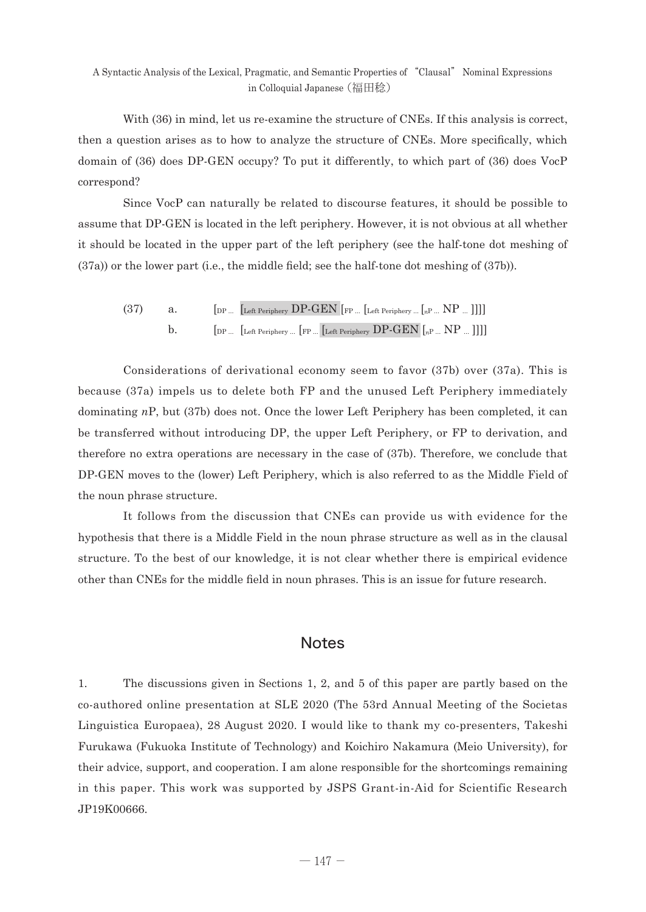With (36) in mind, let us re-examine the structure of CNEs. If this analysis is correct, then a question arises as to how to analyze the structure of CNEs. More specifically, which domain of (36) does DP-GEN occupy? To put it differently, to which part of (36) does VocP correspond?

 Since VocP can naturally be related to discourse features, it should be possible to assume that DP-GEN is located in the left periphery. However, it is not obvious at all whether it should be located in the upper part of the left periphery (see the half-tone dot meshing of (37a)) or the lower part (i.e., the middle field; see the half-tone dot meshing of (37b)).

(37)  $a.$  [DP ... [Left Periphery DP-GEN [FP ... [Left Periphery ... [ $n$ P ... ]]]] b.  $\left[\begin{array}{cc} \n\end{array}\right]$  [DP ...  $\left[\begin{array}{cc} \n\end{array}\right]$  Left Periphery  $\left[\begin{array}{cc} \n\end{array}\right]$  [DP-GEN  $\left[\begin{array}{cc} \n\end{array}\right]$   $\left[\begin{array}{cc} \n\end{array}\right]$   $\left[\begin{array}{cc} \n\end{array}\right]$ 

 Considerations of derivational economy seem to favor (37b) over (37a). This is because (37a) impels us to delete both FP and the unused Left Periphery immediately dominating *n*P, but (37b) does not. Once the lower Left Periphery has been completed, it can be transferred without introducing DP, the upper Left Periphery, or FP to derivation, and therefore no extra operations are necessary in the case of (37b). Therefore, we conclude that DP-GEN moves to the (lower) Left Periphery, which is also referred to as the Middle Field of the noun phrase structure.

 It follows from the discussion that CNEs can provide us with evidence for the hypothesis that there is a Middle Field in the noun phrase structure as well as in the clausal structure. To the best of our knowledge, it is not clear whether there is empirical evidence other than CNEs for the middle field in noun phrases. This is an issue for future research.

### **Notes**

1. The discussions given in Sections 1, 2, and 5 of this paper are partly based on the co-authored online presentation at SLE 2020 (The 53rd Annual Meeting of the Societas Linguistica Europaea), 28 August 2020. I would like to thank my co-presenters, Takeshi Furukawa (Fukuoka Institute of Technology) and Koichiro Nakamura (Meio University), for their advice, support, and cooperation. I am alone responsible for the shortcomings remaining in this paper. This work was supported by JSPS Grant-in-Aid for Scientific Research JP19K00666.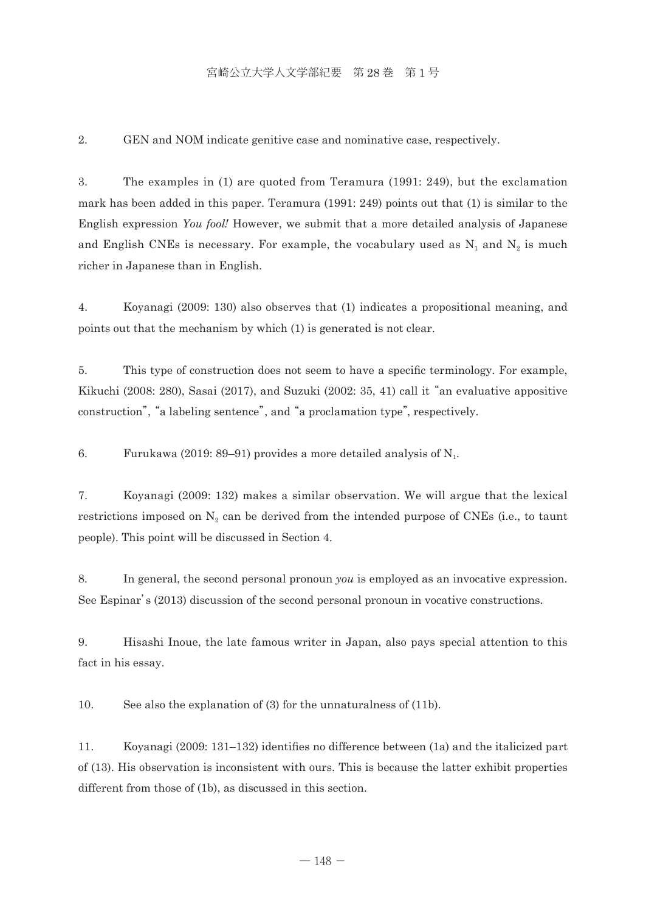### 宮崎公立大学人文学部紀要 第 28 巻 第 1 号

2. GEN and NOM indicate genitive case and nominative case, respectively.

3. The examples in (1) are quoted from Teramura (1991: 249), but the exclamation mark has been added in this paper. Teramura (1991: 249) points out that (1) is similar to the English expression *You fool*! However, we submit that a more detailed analysis of Japanese and English CNEs is necessary. For example, the vocabulary used as  $N_1$  and  $N_2$  is much richer in Japanese than in English.

4. Koyanagi (2009: 130) also observes that (1) indicates a propositional meaning, and points out that the mechanism by which (1) is generated is not clear.

5. This type of construction does not seem to have a specific terminology. For example, Kikuchi (2008: 280), Sasai (2017), and Suzuki (2002: 35, 41) call it "an evaluative appositive construction", "a labeling sentence", and "a proclamation type", respectively.

6. Furukawa (2019: 89–91) provides a more detailed analysis of  $N_1$ .

7. Koyanagi (2009: 132) makes a similar observation. We will argue that the lexical restrictions imposed on  $N_2$  can be derived from the intended purpose of CNEs (i.e., to taunt people). This point will be discussed in Section 4.

8. In general, the second personal pronoun *you* is employed as an invocative expression. See Espinar's (2013) discussion of the second personal pronoun in vocative constructions.

9. Hisashi Inoue, the late famous writer in Japan, also pays special attention to this fact in his essay.

10. See also the explanation of (3) for the unnaturalness of (11b).

11. Koyanagi (2009: 131–132) identifies no difference between (1a) and the italicized part of (13). His observation is inconsistent with ours. This is because the latter exhibit properties different from those of (1b), as discussed in this section.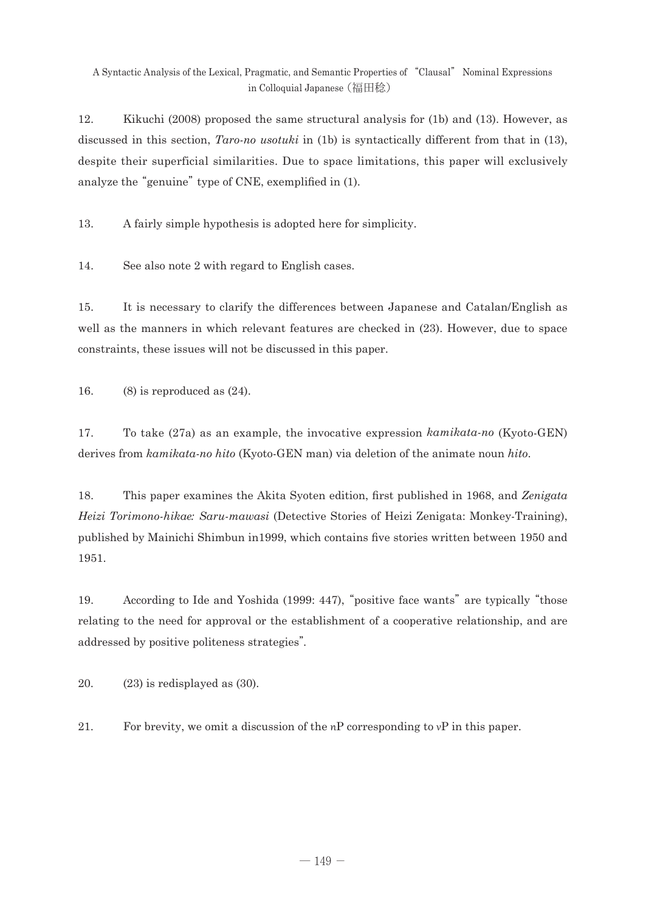12. Kikuchi (2008) proposed the same structural analysis for (1b) and (13). However, as discussed in this section, *Taro-no usotuki* in (1b) is syntactically different from that in (13), despite their superficial similarities. Due to space limitations, this paper will exclusively analyze the "genuine" type of CNE, exemplified in (1).

13. A fairly simple hypothesis is adopted here for simplicity.

14. See also note 2 with regard to English cases.

15. It is necessary to clarify the differences between Japanese and Catalan/English as well as the manners in which relevant features are checked in (23). However, due to space constraints, these issues will not be discussed in this paper.

16. (8) is reproduced as  $(24)$ .

17. To take (27a) as an example, the invocative expression *kamikata-no* (Kyoto-GEN) derives from *kamikata-no hito* (Kyoto-GEN man) via deletion of the animate noun *hito*.

18. This paper examines the Akita Syoten edition, first published in 1968, and *Zenigata Heizi Torimono-hikae*: *Saru-mawasi* (Detective Stories of Heizi Zenigata: Monkey-Training), published by Mainichi Shimbun in1999, which contains five stories written between 1950 and 1951.

19. According to Ide and Yoshida (1999: 447), "positive face wants" are typically "those relating to the need for approval or the establishment of a cooperative relationship, and are addressed by positive politeness strategies".

20. (23) is redisplayed as (30).

21. For brevity, we omit a discussion of the  $nP$  corresponding to  $vP$  in this paper.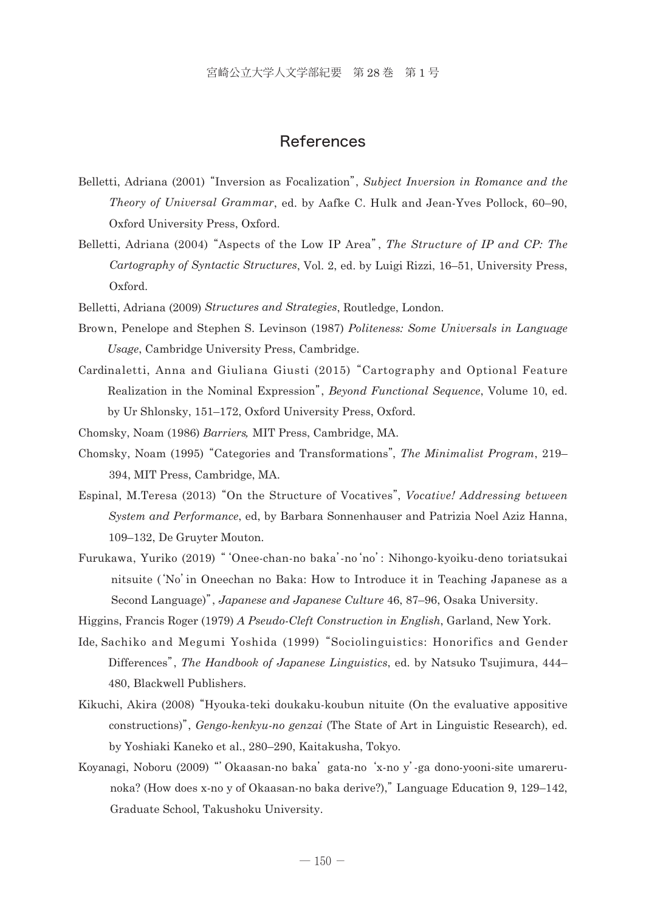### References

- Belletti, Adriana (2001) "Inversion as Focalization", *Subject Inversion in Romance and the Theory of Universal Grammar*, ed. by Aafke C. Hulk and Jean-Yves Pollock, 60–90, Oxford University Press, Oxford.
- Belletti, Adriana (2004) "Aspects of the Low IP Area", *The Structure of IP and CP: The Cartography of Syntactic Structures*, Vol. 2, ed. by Luigi Rizzi, 16–51, University Press, Oxford.
- Belletti, Adriana (2009) *Structures and Strategies*, Routledge, London.
- Brow n, Penelope and Stephen S. Levinson (1987) *Politeness: Some Universals in Language Usage*, Cambridge University Press, Cambridge.
- Cardinaletti, Anna and Giuliana Giusti (2015) "Cartography and Optional Feature Realization in the Nominal Expression", *Beyond Functional Sequence*, Volume 10, ed. by Ur Shlonsky, 151–172, Oxford University Press, Oxford.
- Chom sky, Noam (1986) *Barriers*, MIT Press, Cambridge, MA.
- Chom sky, Noam (1995) "Categories and Transformations", *The Minimalist Program*, 219– 394, MIT Press, Cambridge, MA.
- Espinal, M.Teresa (2013) "On the Structure of Vocatives", *Vocative! Addressing between System and Performance*, ed, by Barbara Sonnenhauser and Patrizia Noel Aziz Hanna, 109–132, De Gruyter Mouton.
- Furuk awa, Yuriko (2019) "'Onee-chan-no baka'-no 'no': Nihongo-kyoiku-deno toriatsukai nitsuite ('No' in Oneechan no Baka: How to Introduce it in Teaching Japanese as a Second Language)", *Japanese and Japanese Culture* 46, 87–96, Osaka University.
- Higgins, Francis Roger (1979) *A Pseudo-Cleft Construction in English*, Garland, New York.
- Ide, Sachiko and Megumi Yoshida (1999) "Sociolinguistics: Honorifics and Gender Differences", *The Handbook of Japanese Linguistics*, ed. by Natsuko Tsujimura, 444– 480, Blackwell Publishers.
- Kikuchi, Akira (2008) "Hyouka-teki doukaku-koubun nituite (On the evaluative appositive constructions)", *Gengo-kenkyu-no genzai* (The State of Art in Linguistic Research), ed. by Yoshiaki Kaneko et al., 280–290, Kaitakusha, Tokyo.
- Koyan agi, Noboru (2009) "'Okaasan-no baka' gata-no 'x-no y'-ga dono-yooni-site umarerunoka? (How does x-no y of Okaasan-no baka derive?)," Language Education 9, 129–142, Graduate School, Takushoku University.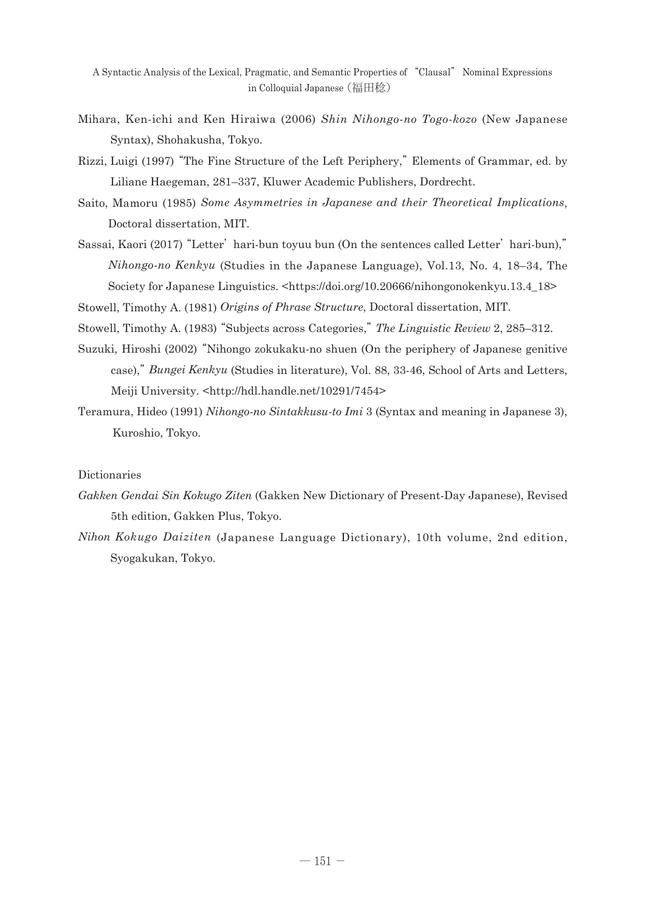- Mihar a, Ken-ichi and Ken Hiraiwa (2006) *Shin Nihongo-no Togo-kozo* (New Japanese Syntax), Shohakusha, Tokyo.
- Rizzi, Luigi (1997) "The Fine Structure of the Left Periphery," Elements of Grammar, ed. by Liliane Haegeman, 281–337, Kluwer Academic Publishers, Dordrecht.
- Saito, Mamoru (1985) *Some Asymmetries in Japanese and their Theoretical Implications*, Doctoral dissertation, MIT.
- Sassai, Kaori (2017) "Letter' hari-bun toyuu bun (On the sentences called Letter' hari-bun)," *Nihongo-no Kenkyu* (Studies in the Japanese Language), Vol.13, No. 4, 18–34, The Society for Japanese Linguistics. <https://doi.org/10.20666/nihongonokenkyu.13.4\_18>

Stowell, Timothy A. (1981) *Origins of Phrase Structure*, Doctoral dissertation, MIT.

Stowell, Timothy A. (1983) "Subjects across Categories,"*The Linguistic Review* 2, 285–312.

- Suzuki, Hiroshi (2002) "Nihongo zokukaku-no shuen (On the periphery of Japanese genitive case)," *Bungei Kenkyu* (Studies in literature), Vol. 88, 33-46, School of Arts and Letters, Meiji University. <http://hdl.handle.net/10291/7454>
- Teram ura, Hideo (1991) *Nihongo-no Sintakkusu-to Imi* 3 (Syntax and meaning in Japanese 3), Kuroshio, Tokyo.

#### Dictionaries

- *Gakken Gendai Sin Kokugo Ziten* (Gakken New Dictionary of Present-Day Japanese), Revised 5th edition, Gakken Plus, Tokyo.
- *Nihon Kokugo Daiziten* (Japanese Language Dictionary), 10th volume, 2nd edition, Syogakukan, Tokyo.